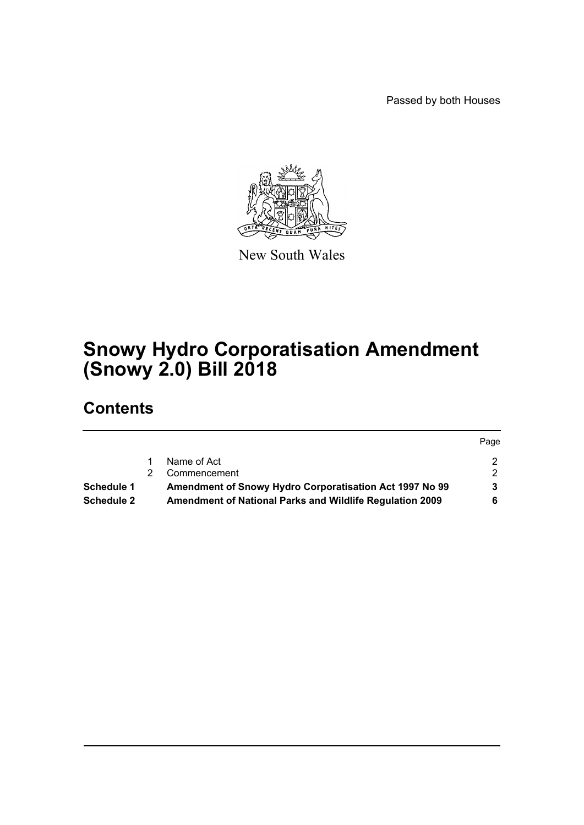Passed by both Houses



New South Wales

# **Snowy Hydro Corporatisation Amendment (Snowy 2.0) Bill 2018**

# **Contents**

|            |                                                          | Page |
|------------|----------------------------------------------------------|------|
|            | Name of Act                                              |      |
|            | Commencement                                             |      |
| Schedule 1 | Amendment of Snowy Hydro Corporatisation Act 1997 No 99  |      |
| Schedule 2 | Amendment of National Parks and Wildlife Regulation 2009 |      |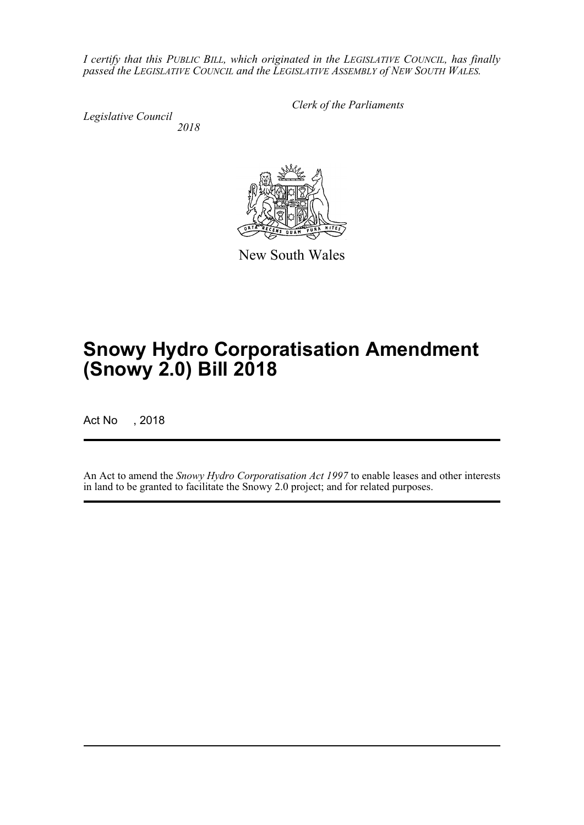*I certify that this PUBLIC BILL, which originated in the LEGISLATIVE COUNCIL, has finally passed the LEGISLATIVE COUNCIL and the LEGISLATIVE ASSEMBLY of NEW SOUTH WALES.*

*Legislative Council 2018* *Clerk of the Parliaments*

New South Wales

# **Snowy Hydro Corporatisation Amendment (Snowy 2.0) Bill 2018**

Act No , 2018

An Act to amend the *Snowy Hydro Corporatisation Act 1997* to enable leases and other interests in land to be granted to facilitate the Snowy 2.0 project; and for related purposes.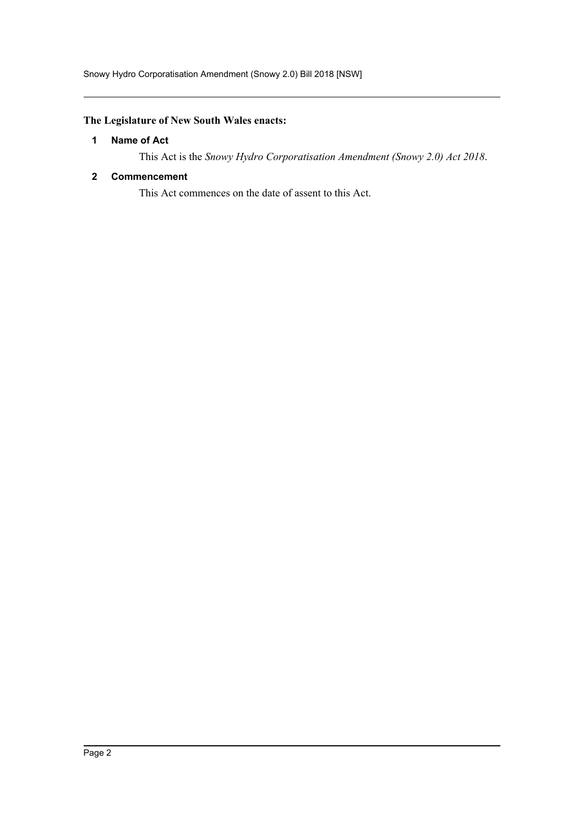### <span id="page-2-0"></span>**The Legislature of New South Wales enacts:**

#### **1 Name of Act**

This Act is the *Snowy Hydro Corporatisation Amendment (Snowy 2.0) Act 2018*.

#### <span id="page-2-1"></span>**2 Commencement**

This Act commences on the date of assent to this Act.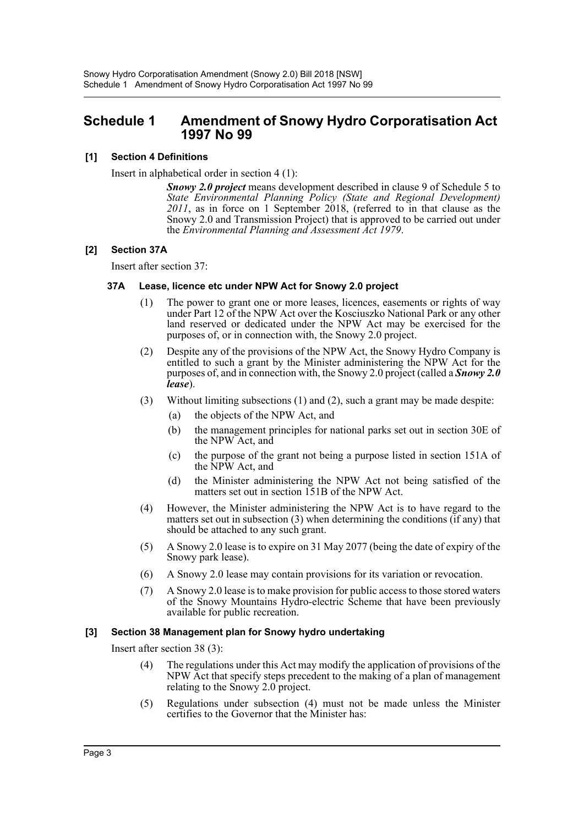### <span id="page-3-0"></span>**Schedule 1 Amendment of Snowy Hydro Corporatisation Act 1997 No 99**

#### **[1] Section 4 Definitions**

Insert in alphabetical order in section 4 (1):

*Snowy 2.0 project* means development described in clause 9 of Schedule 5 to *State Environmental Planning Policy (State and Regional Development)* 2011, as in force on 1 September 2018, (referred to in that clause as the Snowy 2.0 and Transmission Project) that is approved to be carried out under the *Environmental Planning and Assessment Act 1979*.

#### **[2] Section 37A**

Insert after section 37:

#### **37A Lease, licence etc under NPW Act for Snowy 2.0 project**

- (1) The power to grant one or more leases, licences, easements or rights of way under Part 12 of the NPW Act over the Kosciuszko National Park or any other land reserved or dedicated under the NPW Act may be exercised for the purposes of, or in connection with, the Snowy 2.0 project.
- (2) Despite any of the provisions of the NPW Act, the Snowy Hydro Company is entitled to such a grant by the Minister administering the NPW Act for the purposes of, and in connection with, the Snowy 2.0 project (called a *Snowy 2.0 lease*).
- (3) Without limiting subsections (1) and (2), such a grant may be made despite:
	- (a) the objects of the NPW Act, and
	- (b) the management principles for national parks set out in section 30E of the NPW Act, and
	- (c) the purpose of the grant not being a purpose listed in section 151A of the NPW Act, and
	- (d) the Minister administering the NPW Act not being satisfied of the matters set out in section 151B of the NPW Act.
- (4) However, the Minister administering the NPW Act is to have regard to the matters set out in subsection (3) when determining the conditions (if any) that should be attached to any such grant.
- (5) A Snowy 2.0 lease is to expire on 31 May 2077 (being the date of expiry of the Snowy park lease).
- (6) A Snowy 2.0 lease may contain provisions for its variation or revocation.
- (7) A Snowy 2.0 lease is to make provision for public access to those stored waters of the Snowy Mountains Hydro-electric Scheme that have been previously available for public recreation.

#### **[3] Section 38 Management plan for Snowy hydro undertaking**

Insert after section 38 (3):

- (4) The regulations under this Act may modify the application of provisions of the NPW Act that specify steps precedent to the making of a plan of management relating to the Snowy 2.0 project.
- (5) Regulations under subsection (4) must not be made unless the Minister certifies to the Governor that the Minister has: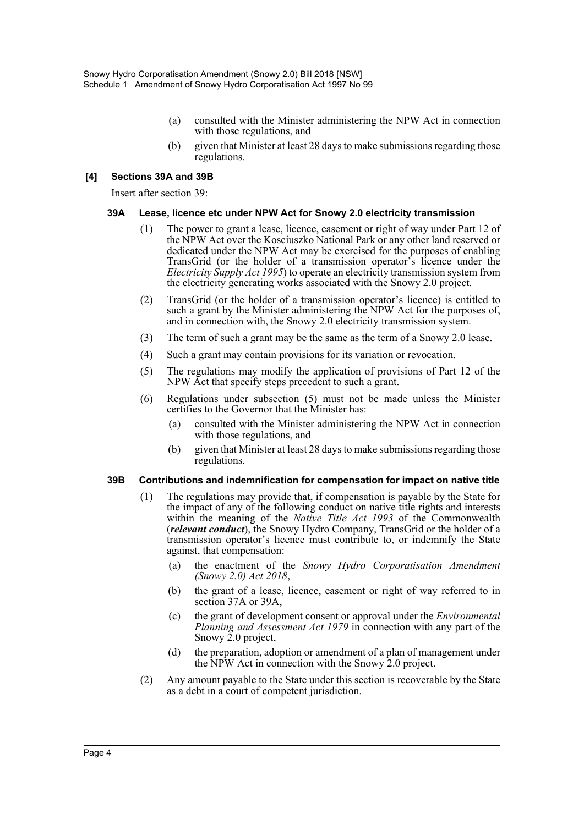- (a) consulted with the Minister administering the NPW Act in connection with those regulations, and
- (b) given that Minister at least 28 days to make submissions regarding those regulations.

#### **[4] Sections 39A and 39B**

Insert after section 39:

#### **39A Lease, licence etc under NPW Act for Snowy 2.0 electricity transmission**

- (1) The power to grant a lease, licence, easement or right of way under Part 12 of the NPW Act over the Kosciuszko National Park or any other land reserved or dedicated under the NPW Act may be exercised for the purposes of enabling TransGrid (or the holder of a transmission operator's licence under the *Electricity Supply Act 1995*) to operate an electricity transmission system from the electricity generating works associated with the Snowy 2.0 project.
- (2) TransGrid (or the holder of a transmission operator's licence) is entitled to such a grant by the Minister administering the NPW Act for the purposes of, and in connection with, the Snowy 2.0 electricity transmission system.
- (3) The term of such a grant may be the same as the term of a Snowy 2.0 lease.
- (4) Such a grant may contain provisions for its variation or revocation.
- (5) The regulations may modify the application of provisions of Part 12 of the NPW Act that specify steps precedent to such a grant.
- (6) Regulations under subsection (5) must not be made unless the Minister certifies to the Governor that the Minister has:
	- (a) consulted with the Minister administering the NPW Act in connection with those regulations, and
	- (b) given that Minister at least 28 days to make submissions regarding those regulations.

#### **39B Contributions and indemnification for compensation for impact on native title**

- (1) The regulations may provide that, if compensation is payable by the State for the impact of any of the following conduct on native title rights and interests within the meaning of the *Native Title Act 1993* of the Commonwealth (*relevant conduct*), the Snowy Hydro Company, TransGrid or the holder of a transmission operator's licence must contribute to, or indemnify the State against, that compensation:
	- (a) the enactment of the *Snowy Hydro Corporatisation Amendment (Snowy 2.0) Act 2018*,
	- (b) the grant of a lease, licence, easement or right of way referred to in section 37A or 39A,
	- (c) the grant of development consent or approval under the *Environmental Planning and Assessment Act 1979* in connection with any part of the Snowy 2.0 project,
	- (d) the preparation, adoption or amendment of a plan of management under the NPW Act in connection with the Snowy 2.0 project.
- (2) Any amount payable to the State under this section is recoverable by the State as a debt in a court of competent jurisdiction.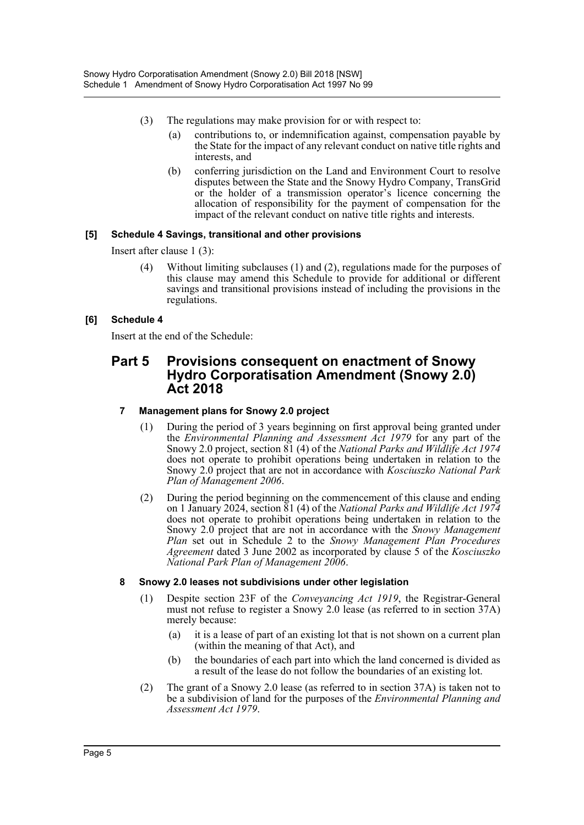- (3) The regulations may make provision for or with respect to:
	- (a) contributions to, or indemnification against, compensation payable by the State for the impact of any relevant conduct on native title rights and interests, and
	- (b) conferring jurisdiction on the Land and Environment Court to resolve disputes between the State and the Snowy Hydro Company, TransGrid or the holder of a transmission operator's licence concerning the allocation of responsibility for the payment of compensation for the impact of the relevant conduct on native title rights and interests.

#### **[5] Schedule 4 Savings, transitional and other provisions**

Insert after clause 1 (3):

(4) Without limiting subclauses (1) and (2), regulations made for the purposes of this clause may amend this Schedule to provide for additional or different savings and transitional provisions instead of including the provisions in the regulations.

#### **[6] Schedule 4**

Insert at the end of the Schedule:

### **Part 5 Provisions consequent on enactment of Snowy Hydro Corporatisation Amendment (Snowy 2.0) Act 2018**

#### **7 Management plans for Snowy 2.0 project**

- (1) During the period of 3 years beginning on first approval being granted under the *Environmental Planning and Assessment Act 1979* for any part of the Snowy 2.0 project, section 81 (4) of the *National Parks and Wildlife Act 1974* does not operate to prohibit operations being undertaken in relation to the Snowy 2.0 project that are not in accordance with *Kosciuszko National Park Plan of Management 2006*.
- (2) During the period beginning on the commencement of this clause and ending on 1 January 2024, section 81 (4) of the *National Parks and Wildlife Act 1974* does not operate to prohibit operations being undertaken in relation to the Snowy 2.0 project that are not in accordance with the *Snowy Management Plan* set out in Schedule 2 to the *Snowy Management Plan Procedures Agreement* dated 3 June 2002 as incorporated by clause 5 of the *Kosciuszko National Park Plan of Management 2006*.

#### **8 Snowy 2.0 leases not subdivisions under other legislation**

- (1) Despite section 23F of the *Conveyancing Act 1919*, the Registrar-General must not refuse to register a Snowy 2.0 lease (as referred to in section 37A) merely because:
	- (a) it is a lease of part of an existing lot that is not shown on a current plan (within the meaning of that Act), and
	- (b) the boundaries of each part into which the land concerned is divided as a result of the lease do not follow the boundaries of an existing lot.
- (2) The grant of a Snowy 2.0 lease (as referred to in section 37A) is taken not to be a subdivision of land for the purposes of the *Environmental Planning and Assessment Act 1979*.